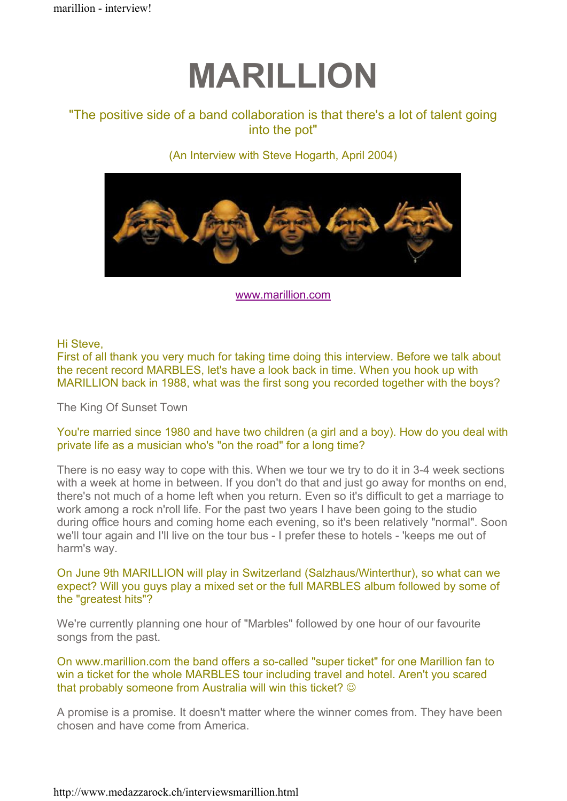# MARILLION

# "The positive side of a band collaboration is that there's a lot of talent going into the pot"

# (An Interview with Steve Hogarth, April 2004)



www.marillion.com

Hi Steve,

First of all thank you very much for taking time doing this interview. Before we talk about the recent record MARBLES, let's have a look back in time. When you hook up with MARILLION back in 1988, what was the first song you recorded together with the boys?

The King Of Sunset Town

# You're married since 1980 and have two children (a girl and a boy). How do you deal with private life as a musician who's "on the road" for a long time?

There is no easy way to cope with this. When we tour we try to do it in 3-4 week sections with a week at home in between. If you don't do that and just go away for months on end, there's not much of a home left when you return. Even so it's difficult to get a marriage to work among a rock n'roll life. For the past two years I have been going to the studio during office hours and coming home each evening, so it's been relatively "normal". Soon we'll tour again and I'll live on the tour bus - I prefer these to hotels - 'keeps me out of harm's way.

On June 9th MARILLION will play in Switzerland (Salzhaus/Winterthur), so what can we expect? Will you guys play a mixed set or the full MARBLES album followed by some of the "greatest hits"?

We're currently planning one hour of "Marbles" followed by one hour of our favourite songs from the past.

On www.marillion.com the band offers a so-called "super ticket" for one Marillion fan to win a ticket for the whole MARBLES tour including travel and hotel. Aren't you scared that probably someone from Australia will win this ticket?  $\odot$ 

A promise is a promise. It doesn't matter where the winner comes from. They have been chosen and have come from America.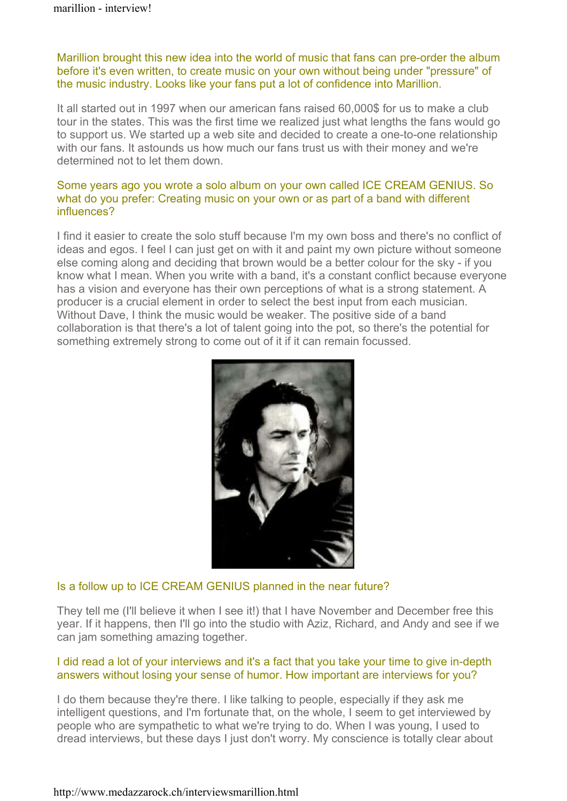## Marillion brought this new idea into the world of music that fans can pre-order the album before it's even written, to create music on your own without being under "pressure" of the music industry. Looks like your fans put a lot of confidence into Marillion.

It all started out in 1997 when our american fans raised 60,000\$ for us to make a club tour in the states. This was the first time we realized just what lengths the fans would go to support us. We started up a web site and decided to create a one-to-one relationship with our fans. It astounds us how much our fans trust us with their money and we're determined not to let them down.

#### Some years ago you wrote a solo album on your own called ICE CREAM GENIUS. So what do you prefer: Creating music on your own or as part of a band with different influences?

I find it easier to create the solo stuff because I'm my own boss and there's no conflict of ideas and egos. I feel I can just get on with it and paint my own picture without someone else coming along and deciding that brown would be a better colour for the sky - if you know what I mean. When you write with a band, it's a constant conflict because everyone has a vision and everyone has their own perceptions of what is a strong statement. A producer is a crucial element in order to select the best input from each musician. Without Dave, I think the music would be weaker. The positive side of a band collaboration is that there's a lot of talent going into the pot, so there's the potential for something extremely strong to come out of it if it can remain focussed.



### Is a follow up to ICE CREAM GENIUS planned in the near future?

They tell me (I'll believe it when I see it!) that I have November and December free this year. If it happens, then I'll go into the studio with Aziz, Richard, and Andy and see if we can jam something amazing together.

### I did read a lot of your interviews and it's a fact that you take your time to give in-depth answers without losing your sense of humor. How important are interviews for you?

I do them because they're there. I like talking to people, especially if they ask me intelligent questions, and I'm fortunate that, on the whole, I seem to get interviewed by people who are sympathetic to what we're trying to do. When I was young, I used to dread interviews, but these days I just don't worry. My conscience is totally clear about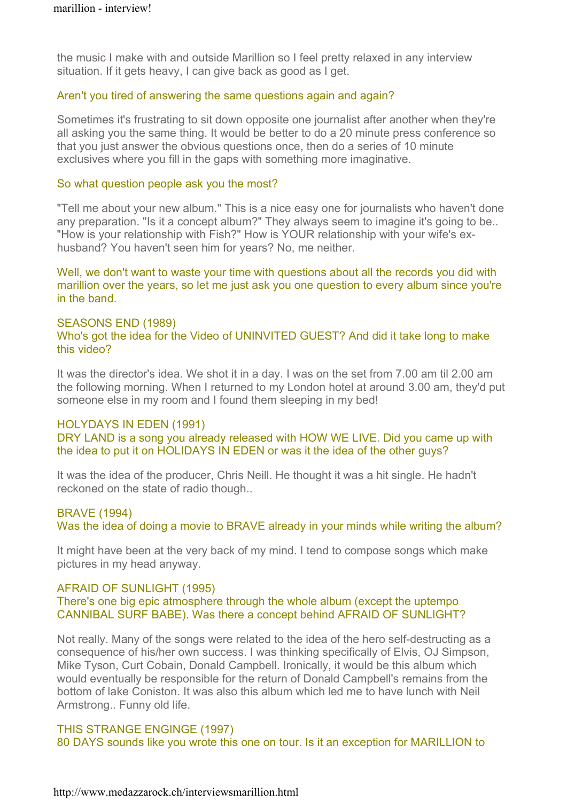the music I make with and outside Marillion so I feel pretty relaxed in any interview situation. If it gets heavy, I can give back as good as I get.

#### Aren't you tired of answering the same questions again and again?

Sometimes it's frustrating to sit down opposite one journalist after another when they're all asking you the same thing. It would be better to do a 20 minute press conference so that you just answer the obvious questions once, then do a series of 10 minute exclusives where you fill in the gaps with something more imaginative.

#### So what question people ask you the most?

"Tell me about your new album." This is a nice easy one for journalists who haven't done any preparation. "Is it a concept album?" They always seem to imagine it's going to be.. "How is your relationship with Fish?" How is YOUR relationship with your wife's exhusband? You haven't seen him for years? No, me neither.

Well, we don't want to waste your time with questions about all the records you did with marillion over the years, so let me just ask you one question to every album since you're in the band.

#### SEASONS END (1989)

Who's got the idea for the Video of UNINVITED GUEST? And did it take long to make this video?

It was the director's idea. We shot it in a day. I was on the set from 7.00 am til 2.00 am the following morning. When I returned to my London hotel at around 3.00 am, they'd put someone else in my room and I found them sleeping in my bed!

#### HOLYDAYS IN EDEN (1991)

DRY LAND is a song you already released with HOW WE LIVE. Did you came up with the idea to put it on HOLIDAYS IN EDEN or was it the idea of the other guys?

It was the idea of the producer, Chris Neill. He thought it was a hit single. He hadn't reckoned on the state of radio though..

### BRAVE (1994)

Was the idea of doing a movie to BRAVE already in your minds while writing the album?

It might have been at the very back of my mind. I tend to compose songs which make pictures in my head anyway.

### AFRAID OF SUNLIGHT (1995)

#### There's one big epic atmosphere through the whole album (except the uptempo CANNIBAL SURF BABE). Was there a concept behind AFRAID OF SUNLIGHT?

Not really. Many of the songs were related to the idea of the hero self-destructing as a consequence of his/her own success. I was thinking specifically of Elvis, OJ Simpson, Mike Tyson, Curt Cobain, Donald Campbell. Ironically, it would be this album which would eventually be responsible for the return of Donald Campbell's remains from the bottom of lake Coniston. It was also this album which led me to have lunch with Neil Armstrong.. Funny old life.

### THIS STRANGE ENGINGE (1997)

80 DAYS sounds like you wrote this one on tour. Is it an exception for MARILLION to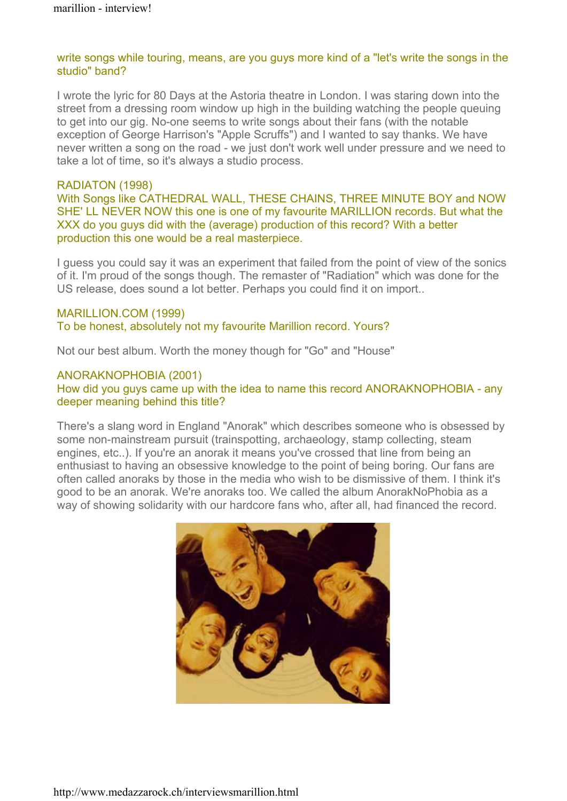#### write songs while touring, means, are you guys more kind of a "let's write the songs in the studio" band?

I wrote the lyric for 80 Days at the Astoria theatre in London. I was staring down into the street from a dressing room window up high in the building watching the people queuing to get into our gig. No-one seems to write songs about their fans (with the notable exception of George Harrison's "Apple Scruffs") and I wanted to say thanks. We have never written a song on the road - we just don't work well under pressure and we need to take a lot of time, so it's always a studio process.

#### RADIATON (1998)

With Songs like CATHEDRAL WALL, THESE CHAINS, THREE MINUTE BOY and NOW SHE' LL NEVER NOW this one is one of my favourite MARILLION records. But what the XXX do you guys did with the (average) production of this record? With a better production this one would be a real masterpiece.

I guess you could say it was an experiment that failed from the point of view of the sonics of it. I'm proud of the songs though. The remaster of "Radiation" which was done for the US release, does sound a lot better. Perhaps you could find it on import..

#### MARILLION.COM (1999)

To be honest, absolutely not my favourite Marillion record. Yours?

Not our best album. Worth the money though for "Go" and "House"

### ANORAKNOPHOBIA (2001)

How did you guys came up with the idea to name this record ANORAKNOPHOBIA - any deeper meaning behind this title?

There's a slang word in England "Anorak" which describes someone who is obsessed by some non-mainstream pursuit (trainspotting, archaeology, stamp collecting, steam engines, etc..). If you're an anorak it means you've crossed that line from being an enthusiast to having an obsessive knowledge to the point of being boring. Our fans are often called anoraks by those in the media who wish to be dismissive of them. I think it's good to be an anorak. We're anoraks too. We called the album AnorakNoPhobia as a way of showing solidarity with our hardcore fans who, after all, had financed the record.

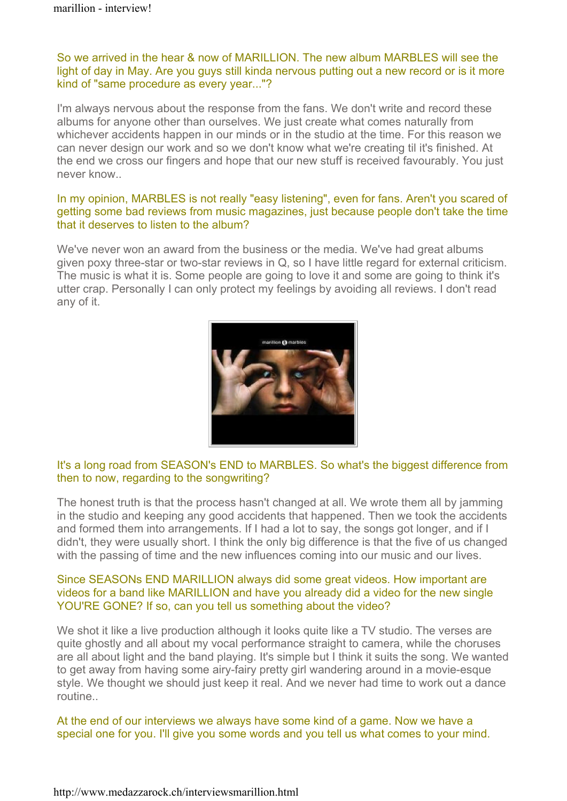So we arrived in the hear & now of MARILLION. The new album MARBLES will see the light of day in May. Are you guys still kinda nervous putting out a new record or is it more kind of "same procedure as every year..."?

I'm always nervous about the response from the fans. We don't write and record these albums for anyone other than ourselves. We just create what comes naturally from whichever accidents happen in our minds or in the studio at the time. For this reason we can never design our work and so we don't know what we're creating til it's finished. At the end we cross our fingers and hope that our new stuff is received favourably. You just never know..

### In my opinion, MARBLES is not really "easy listening", even for fans. Aren't you scared of getting some bad reviews from music magazines, just because people don't take the time that it deserves to listen to the album?

We've never won an award from the business or the media. We've had great albums given poxy three-star or two-star reviews in Q, so I have little regard for external criticism. The music is what it is. Some people are going to love it and some are going to think it's utter crap. Personally I can only protect my feelings by avoiding all reviews. I don't read any of it.



# It's a long road from SEASON's END to MARBLES. So what's the biggest difference from then to now, regarding to the songwriting?

The honest truth is that the process hasn't changed at all. We wrote them all by jamming in the studio and keeping any good accidents that happened. Then we took the accidents and formed them into arrangements. If I had a lot to say, the songs got longer, and if I didn't, they were usually short. I think the only big difference is that the five of us changed with the passing of time and the new influences coming into our music and our lives.

#### Since SEASONs END MARILLION always did some great videos. How important are videos for a band like MARILLION and have you already did a video for the new single YOU'RE GONE? If so, can you tell us something about the video?

We shot it like a live production although it looks quite like a TV studio. The verses are quite ghostly and all about my vocal performance straight to camera, while the choruses are all about light and the band playing. It's simple but I think it suits the song. We wanted to get away from having some airy-fairy pretty girl wandering around in a movie-esque style. We thought we should just keep it real. And we never had time to work out a dance routine..

At the end of our interviews we always have some kind of a game. Now we have a special one for you. I'll give you some words and you tell us what comes to your mind.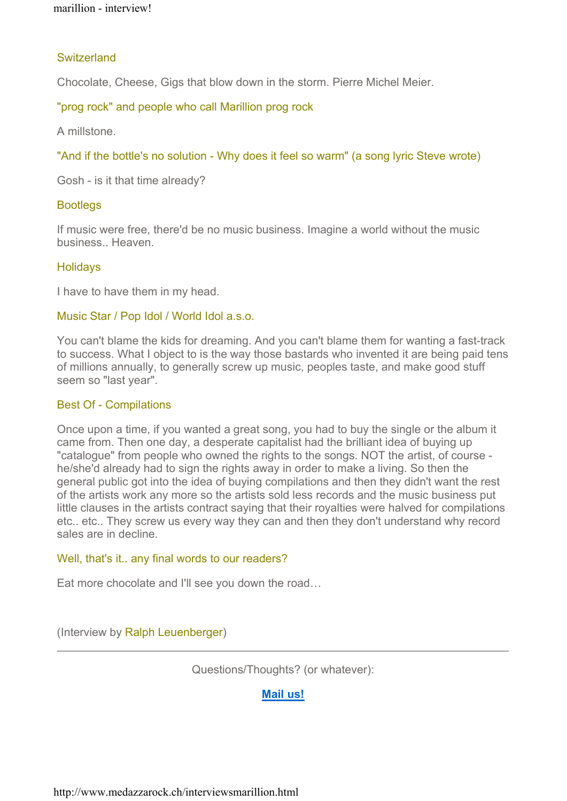## **Switzerland**

Chocolate, Cheese, Gigs that blow down in the storm. Pierre Michel Meier.

"prog rock" and people who call Marillion prog rock

A millstone.

"And if the bottle's no solution - Why does it feel so warm" (a song lyric Steve wrote)

Gosh - is it that time already?

# **Bootlegs**

If music were free, there'd be no music business. Imagine a world without the music business.. Heaven.

# **Holidays**

I have to have them in my head.

### Music Star / Pop Idol / World Idol a.s.o.

You can't blame the kids for dreaming. And you can't blame them for wanting a fast-track to success. What I object to is the way those bastards who invented it are being paid tens of millions annually, to generally screw up music, peoples taste, and make good stuff seem so "last year".

### Best Of - Compilations

Once upon a time, if you wanted a great song, you had to buy the single or the album it came from. Then one day, a desperate capitalist had the brilliant idea of buying up "catalogue" from people who owned the rights to the songs. NOT the artist, of course he/she'd already had to sign the rights away in order to make a living. So then the general public got into the idea of buying compilations and then they didn't want the rest of the artists work any more so the artists sold less records and the music business put little clauses in the artists contract saying that their royalties were halved for compilations etc.. etc.. They screw us every way they can and then they don't understand why record sales are in decline.

### Well, that's it.. any final words to our readers?

Eat more chocolate and I'll see you down the road…

(Interview by Ralph Leuenberger)

Questions/Thoughts? (or whatever):

### Mail us!

http://www.medazzarock.ch/interviewsmarillion.html